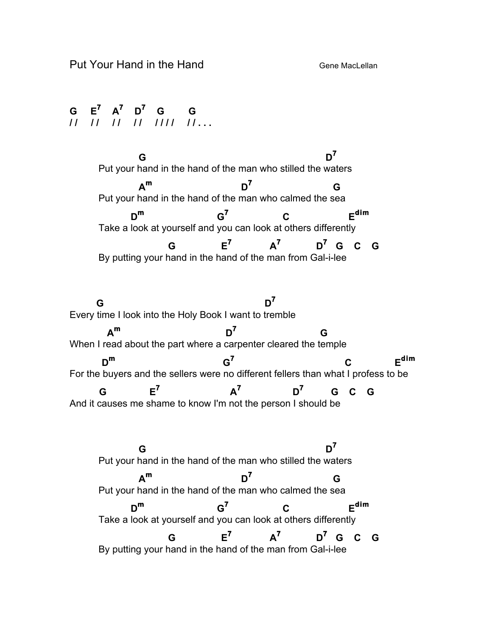**G E7 A<sup>7</sup> D<sup>7</sup> G G / / / / / / / / / / / / / / . . .**

 **G D<sup>7</sup>** Put your hand in the hand of the man who stilled the waters  $A^m$  **D**<sup>7</sup> **G** Put your hand in the hand of the man who calmed the sea **Dm G7 C Edim** Take a look at yourself and you can look at others differently  **G E7 A7 D7 G C G** By putting your hand in the hand of the man from Gal-i-lee G to the contract of  $D^7$ Every time I look into the Holy Book I want to tremble  $A^m$  **D**<sup>7</sup> **G** When I read about the part where a carpenter cleared the temple  $D^m$  G<sup>7</sup> C E<sup>dim</sup> For the buyers and the sellers were no different fellers than what I profess to be  $G$  **E<sup>7</sup>**  $A^7$  **D<sup>7</sup> G C G** And it causes me shame to know I'm not the person I should be  **G D<sup>7</sup>** Put your hand in the hand of the man who stilled the waters  $A^m$  **D**<sup>7</sup> **G** Put your hand in the hand of the man who calmed the sea **Dm G7 C Edim** Take a look at yourself and you can look at others differently  $G$   $E^7$   $A^7$   $D^7$   $G$   $C$   $G$ By putting your hand in the hand of the man from Gal-i-lee